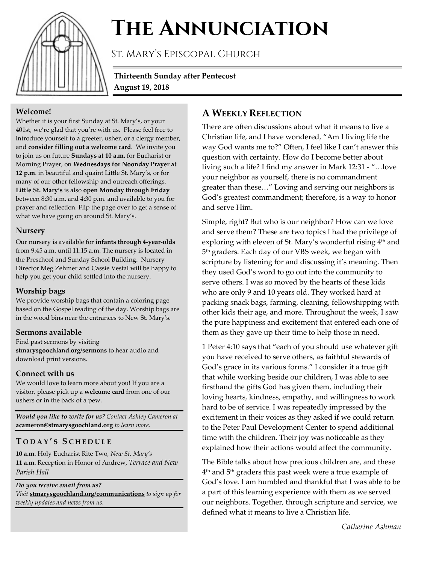

# **The Annunciation**

St. Mary's Episcopal Church

**Thirteenth Sunday after Pentecost August 19, 2018**

### **Welcome!**

Whether it is your first Sunday at St. Mary's, or your 401st, we're glad that you're with us. Please feel free to introduce yourself to a greeter, usher, or a clergy member, and **consider filling out a welcome card**. We invite you to join us on future **Sundays at 10 a.m.** for Eucharist or Morning Prayer, on **Wednesdays for Noonday Prayer at 12 p.m**. in beautiful and quaint Little St. Mary's, or for many of our other fellowship and outreach offerings. **Little St. Mary's** is also **open Monday through Friday** between 8:30 a.m. and 4:30 p.m. and available to you for prayer and reflection. Flip the page over to get a sense of what we have going on around St. Mary's.

#### **Nursery**

Our nursery is available for **infants through 4-year-olds** from 9:45 a.m. until 11:15 a.m. The nursery is located in the Preschool and Sunday School Building. Nursery Director Meg Zehmer and Cassie Vestal will be happy to help you get your child settled into the nursery.

## **Worship bags**

We provide worship bags that contain a coloring page based on the Gospel reading of the day. Worship bags are in the wood bins near the entrances to New St. Mary's.

## **Sermons available**

Find past sermons by visiting **stmarysgoochland.org/sermons** to hear audio and download print versions.

## **Connect with us**

We would love to learn more about you! If you are a visitor, please pick up a **welcome card** from one of our ushers or in the back of a pew.

*Would you like to write for us? Contact Ashley Cameron at*  **acameron@stmarysgoochland.org** *to learn more.*

## **T ODAY ' S S CHEDULE**

**10 a.m.** Holy Eucharist Rite Two, *New St. Mary's* **11 a.m.** Reception in Honor of Andrew, *Terrace and New Parish Hall*

*Do you receive email from us? Visit* **stmarysgoochland.org/communications** *to sign up for weekly updates and news from us.*

## **A WEEKLY REFLECTION**

There are often discussions about what it means to live a Christian life, and I have wondered, "Am I living life the way God wants me to?" Often, I feel like I can't answer this question with certainty. How do I become better about living such a life? I find my answer in Mark 12:31 - "…love your neighbor as yourself, there is no commandment greater than these…" Loving and serving our neighbors is God's greatest commandment; therefore, is a way to honor and serve Him.

Simple, right? But who is our neighbor? How can we love and serve them? These are two topics I had the privilege of exploring with eleven of St. Mary's wonderful rising 4<sup>th</sup> and 5<sup>th</sup> graders. Each day of our VBS week, we began with scripture by listening for and discussing it's meaning. Then they used God's word to go out into the community to serve others. I was so moved by the hearts of these kids who are only 9 and 10 years old. They worked hard at packing snack bags, farming, cleaning, fellowshipping with other kids their age, and more. Throughout the week, I saw the pure happiness and excitement that entered each one of them as they gave up their time to help those in need.

1 Peter 4:10 says that "each of you should use whatever gift you have received to serve others, as faithful stewards of God's grace in its various forms." I consider it a true gift that while working beside our children, I was able to see firsthand the gifts God has given them, including their loving hearts, kindness, empathy, and willingness to work hard to be of service. I was repeatedly impressed by the excitement in their voices as they asked if we could return to the Peter Paul Development Center to spend additional time with the children. Their joy was noticeable as they explained how their actions would affect the community.

The Bible talks about how precious children are, and these 4th and 5th graders this past week were a true example of God's love. I am humbled and thankful that I was able to be a part of this learning experience with them as we served our neighbors. Together, through scripture and service, we defined what it means to live a Christian life.